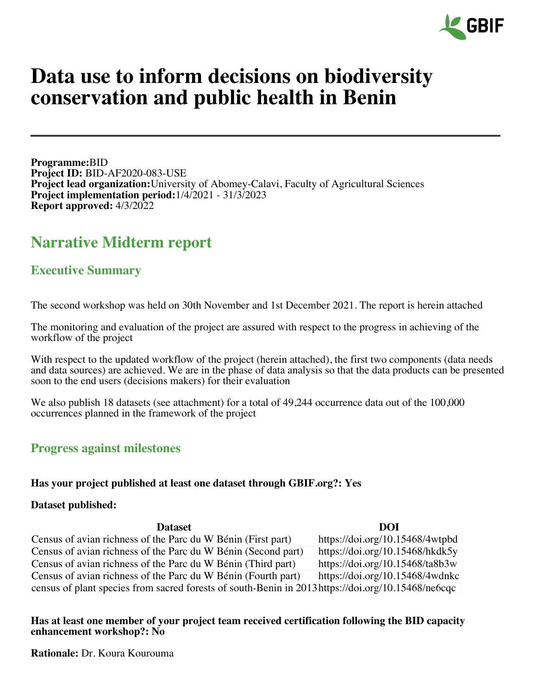

# **Data use to inform decisions on biodiversity conservation and public health in Benin**

**Programme:**BID **Project ID:** BID-AF2020-083-USE **Project lead organization:**University of Abomey-Calavi, Faculty of Agricultural Sciences **Project implementation period:**1/4/2021 - 31/3/2023 **Report approved:** 4/3/2022

## **Narrative Midterm report**

## **Executive Summary**

The second workshop was held on 30th November and 1st December 2021. The report is herein attached

The monitoring and evaluation of the project are assured with respect to the progress in achieving of the workflow of the project

With respect to the updated workflow of the project (herein attached), the first two components (data needs and data sources) are achieved. We are in the phase of data analysis so that the data products can be presented soon to the end users (decisions makers) for their evaluation

We also publish 18 datasets (see attachment) for a total of 49,244 occurrence data out of the 100,000 occurrences planned in the framework of the project

#### **Progress against milestones**

#### **Has your project published at least one dataset through GBIF.org?: Yes**

#### **Dataset published:**

| <b>Dataset</b>                                                                                     | DOI                             |
|----------------------------------------------------------------------------------------------------|---------------------------------|
| Census of avian richness of the Parc du W Bénin (First part)                                       | https://doi.org/10.15468/4wtpbd |
| Census of avian richness of the Parc du W Bénin (Second part)                                      | https://doi.org/10.15468/hkdk5y |
| Census of avian richness of the Parc du W Bénin (Third part)                                       | https://doi.org/10.15468/ta8b3w |
| Census of avian richness of the Parc du W Bénin (Fourth part)                                      | https://doi.org/10.15468/4wdnkc |
| census of plant species from sacred forests of south-Benin in 2013 https://doi.org/10.15468/ne6cqc |                                 |

**Has at least one member of your project team received certification following the BID capacity enhancement workshop?: No**

**Rationale:** Dr. Koura Kourouma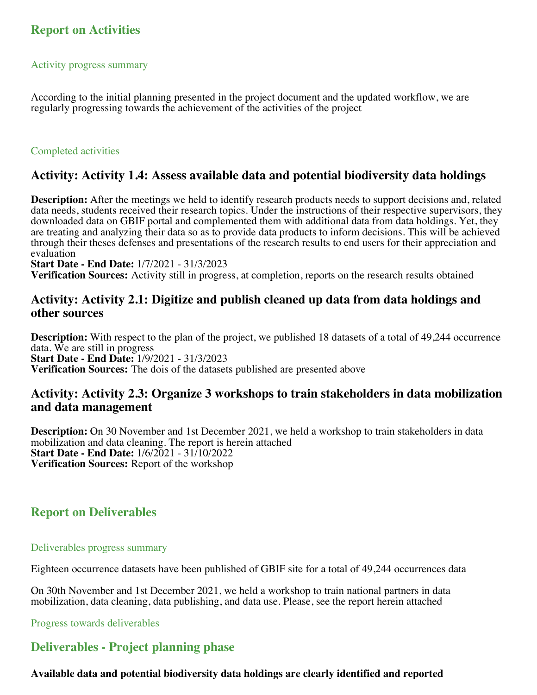## **Report on Activities**

#### Activity progress summary

According to the initial planning presented in the project document and the updated workflow, we are regularly progressing towards the achievement of the activities of the project

#### Completed activities

#### **Activity: Activity 1.4: Assess available data and potential biodiversity data holdings**

**Description:** After the meetings we held to identify research products needs to support decisions and, related data needs, students received their research topics. Under the instructions of their respective supervisors, they downloaded data on GBIF portal and complemented them with additional data from data holdings. Yet, they are treating and analyzing their data so as to provide data products to inform decisions. This will be achieved through their theses defenses and presentations of the research results to end users for their appreciation and evaluation

**Start Date - End Date:** 1/7/2021 - 31/3/2023

**Verification Sources:** Activity still in progress, at completion, reports on the research results obtained

## **Activity: Activity 2.1: Digitize and publish cleaned up data from data holdings and other sources**

**Description:** With respect to the plan of the project, we published 18 datasets of a total of 49,244 occurrence data. We are still in progress **Start Date - End Date:** 1/9/2021 - 31/3/2023 **Verification Sources:** The dois of the datasets published are presented above

## **Activity: Activity 2.3: Organize 3 workshops to train stakeholders in data mobilization and data management**

**Description:** On 30 November and 1st December 2021, we held a workshop to train stakeholders in data mobilization and data cleaning. The report is herein attached **Start Date - End Date:** 1/6/2021 - 31/10/2022 **Verification Sources:** Report of the workshop

## **Report on Deliverables**

#### Deliverables progress summary

Eighteen occurrence datasets have been published of GBIF site for a total of 49,244 occurrences data

On 30th November and 1st December 2021, we held a workshop to train national partners in data mobilization, data cleaning, data publishing, and data use. Please, see the report herein attached

Progress towards deliverables

## **Deliverables - Project planning phase**

#### **Available data and potential biodiversity data holdings are clearly identified and reported**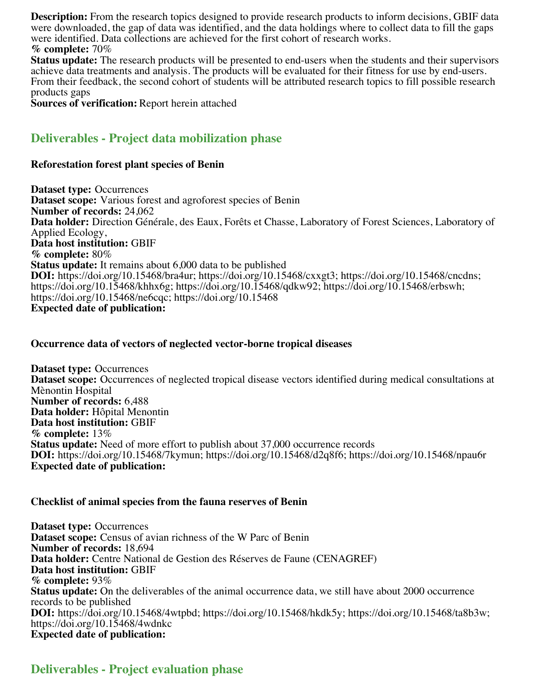**Description:** From the research topics designed to provide research products to inform decisions, GBIF data were downloaded, the gap of data was identified, and the data holdings where to collect data to fill the gaps were identified. Data collections are achieved for the first cohort of research works. **% complete:** 70%

**Status update:** The research products will be presented to end-users when the students and their supervisors achieve data treatments and analysis. The products will be evaluated for their fitness for use by end-users. From their feedback, the second cohort of students will be attributed research topics to fill possible research products gaps

**Sources of verification:** Report herein attached

## **Deliverables - Project data mobilization phase**

#### **Reforestation forest plant species of Benin**

**Dataset type:** Occurrences **Dataset scope:** Various forest and agroforest species of Benin **Number of records:** 24,062 **Data holder:** Direction Générale, des Eaux, Forêts et Chasse, Laboratory of Forest Sciences, Laboratory of Applied Ecology, **Data host institution:** GBIF **% complete:** 80% **Status update:** It remains about 6,000 data to be published **DOI:** https://doi.org/10.15468/bra4ur; https://doi.org/10.15468/cxxgt3; https://doi.org/10.15468/cncdns; https://doi.org/10.15468/khhx6g; https://doi.org/10.15468/qdkw92; https://doi.org/10.15468/erbswh; https://doi.org/10.15468/ne6cqc; https://doi.org/10.15468 **Expected date of publication:**

#### **Occurrence data of vectors of neglected vector-borne tropical diseases**

**Dataset type:** Occurrences **Dataset scope:** Occurrences of neglected tropical disease vectors identified during medical consultations at Mènontin Hospital **Number of records:** 6,488 **Data holder:** Hôpital Menontin **Data host institution:** GBIF **% complete:** 13% **Status update:** Need of more effort to publish about 37,000 occurrence records **DOI:** https://doi.org/10.15468/7kymun; https://doi.org/10.15468/d2q8f6; https://doi.org/10.15468/npau6r **Expected date of publication:**

#### **Checklist of animal species from the fauna reserves of Benin**

**Dataset type:** Occurrences **Dataset scope:** Census of avian richness of the W Parc of Benin **Number of records:** 18,694 **Data holder:** Centre National de Gestion des Réserves de Faune (CENAGREF) **Data host institution:** GBIF **% complete:** 93% **Status update:** On the deliverables of the animal occurrence data, we still have about 2000 occurrence records to be published **DOI:** https://doi.org/10.15468/4wtpbd; https://doi.org/10.15468/hkdk5y; https://doi.org/10.15468/ta8b3w; https://doi.org/10.15468/4wdnkc **Expected date of publication:**

## **Deliverables - Project evaluation phase**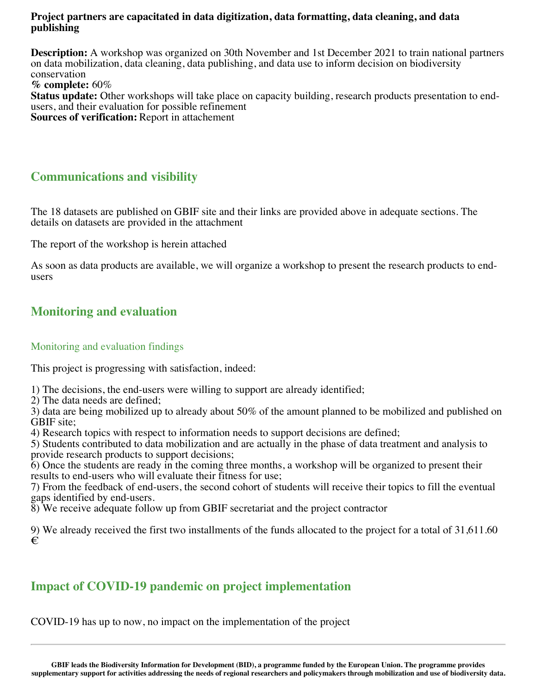#### **Project partners are capacitated in data digitization, data formatting, data cleaning, and data publishing**

**Description:** A workshop was organized on 30th November and 1st December 2021 to train national partners on data mobilization, data cleaning, data publishing, and data use to inform decision on biodiversity conservation

**% complete:** 60%

**Status update:** Other workshops will take place on capacity building, research products presentation to endusers, and their evaluation for possible refinement **Sources of verification:** Report in attachement

## **Communications and visibility**

The 18 datasets are published on GBIF site and their links are provided above in adequate sections. The details on datasets are provided in the attachment

The report of the workshop is herein attached

As soon as data products are available, we will organize a workshop to present the research products to endusers

## **Monitoring and evaluation**

#### Monitoring and evaluation findings

This project is progressing with satisfaction, indeed:

1) The decisions, the end-users were willing to support are already identified;

2) The data needs are defined;

3) data are being mobilized up to already about 50% of the amount planned to be mobilized and published on GBIF site;

4) Research topics with respect to information needs to support decisions are defined;

5) Students contributed to data mobilization and are actually in the phase of data treatment and analysis to provide research products to support decisions;

6) Once the students are ready in the coming three months, a workshop will be organized to present their results to end-users who will evaluate their fitness for use;

7) From the feedback of end-users, the second cohort of students will receive their topics to fill the eventual gaps identified by end-users.

8) We receive adequate follow up from GBIF secretariat and the project contractor

9) We already received the first two installments of the funds allocated to the project for a total of 31,611.60 €

## **Impact of COVID-19 pandemic on project implementation**

COVID-19 has up to now, no impact on the implementation of the project